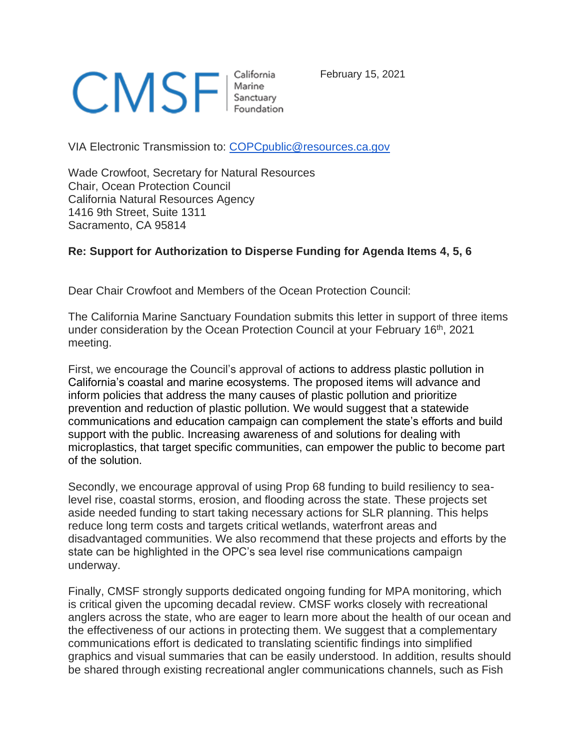

February 15, 2021

VIA Electronic Transmission to: [COPCpublic@resources.ca.gov](mailto:COPCpublic@resources.ca.gov)

Wade Crowfoot, Secretary for Natural Resources Chair, Ocean Protection Council California Natural Resources Agency 1416 9th Street, Suite 1311 Sacramento, CA 95814

## **Re: Support for Authorization to Disperse Funding for Agenda Items 4, 5, 6**

Dear Chair Crowfoot and Members of the Ocean Protection Council:

The California Marine Sanctuary Foundation submits this letter in support of three items under consideration by the Ocean Protection Council at your February 16th, 2021 meeting.

First, we encourage the Council's approval of actions to address plastic pollution in California's coastal and marine ecosystems. The proposed items will advance and inform policies that address the many causes of plastic pollution and prioritize prevention and reduction of plastic pollution. We would suggest that a statewide communications and education campaign can complement the state's efforts and build support with the public. Increasing awareness of and solutions for dealing with microplastics, that target specific communities, can empower the public to become part of the solution.

Secondly, we encourage approval of using Prop 68 funding to build resiliency to sealevel rise, coastal storms, erosion, and flooding across the state. These projects set aside needed funding to start taking necessary actions for SLR planning. This helps reduce long term costs and targets critical wetlands, waterfront areas and disadvantaged communities. We also recommend that these projects and efforts by the state can be highlighted in the OPC's sea level rise communications campaign underway.

Finally, CMSF strongly supports dedicated ongoing funding for MPA monitoring, which is critical given the upcoming decadal review. CMSF works closely with recreational anglers across the state, who are eager to learn more about the health of our ocean and the effectiveness of our actions in protecting them. We suggest that a complementary communications effort is dedicated to translating scientific findings into simplified graphics and visual summaries that can be easily understood. In addition, results should be shared through existing recreational angler communications channels, such as Fish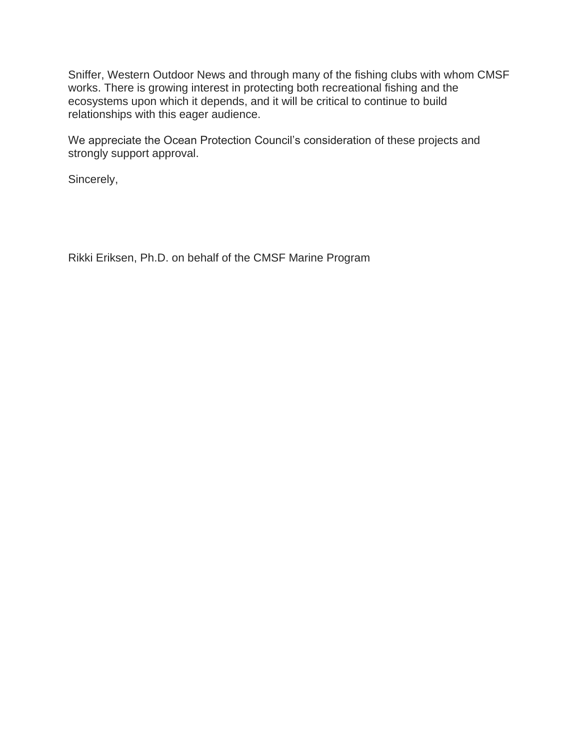Sniffer, Western Outdoor News and through many of the fishing clubs with whom CMSF works. There is growing interest in protecting both recreational fishing and the ecosystems upon which it depends, and it will be critical to continue to build relationships with this eager audience.

We appreciate the Ocean Protection Council's consideration of these projects and strongly support approval.

Sincerely,

Rikki Eriksen, Ph.D. on behalf of the CMSF Marine Program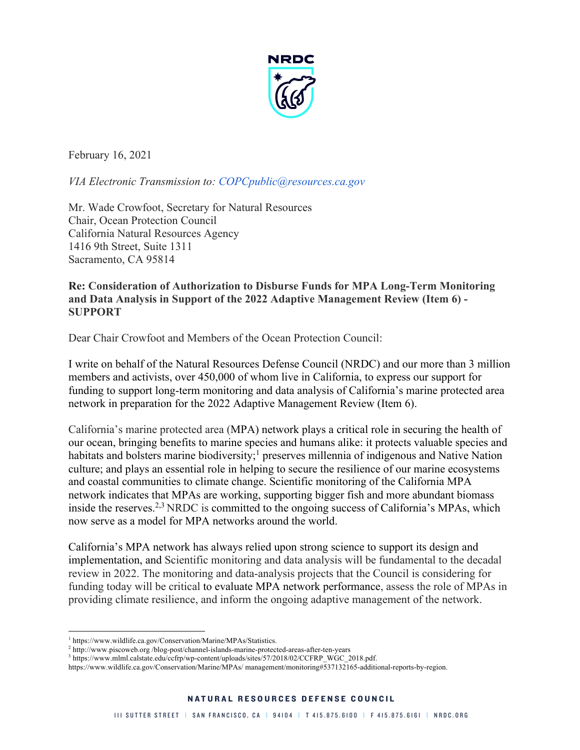

February 16, 2021

*VIA Electronic Transmission to: COPCpublic@resources.ca.gov*

Mr. Wade Crowfoot, Secretary for Natural Resources Chair, Ocean Protection Council California Natural Resources Agency 1416 9th Street, Suite 1311 Sacramento, CA 95814

## **Re: Consideration of Authorization to Disburse Funds for MPA Long-Term Monitoring and Data Analysis in Support of the 2022 Adaptive Management Review (Item 6) - SUPPORT**

Dear Chair Crowfoot and Members of the Ocean Protection Council:

I write on behalf of the Natural Resources Defense Council (NRDC) and our more than 3 million members and activists, over 450,000 of whom live in California, to express our support for funding to support long-term monitoring and data analysis of California's marine protected area network in preparation for the 2022 Adaptive Management Review (Item 6).

California's marine protected area (MPA) network plays a critical role in securing the health of our ocean, bringing benefits to marine species and humans alike: it protects valuable species and habitats and bolsters marine biodiversity;<sup>1</sup> preserves millennia of indigenous and Native Nation culture; and plays an essential role in helping to secure the resilience of our marine ecosystems and coastal communities to climate change. Scientific monitoring of the California MPA network indicates that MPAs are working, supporting bigger fish and more abundant biomass inside the reserves.<sup>2,3</sup> NRDC is committed to the ongoing success of California's MPAs, which now serve as a model for MPA networks around the world.

California's MPA network has always relied upon strong science to support its design and implementation, and Scientific monitoring and data analysis will be fundamental to the decadal review in 2022. The monitoring and data-analysis projects that the Council is considering for funding today will be critical to evaluate MPA network performance, assess the role of MPAs in providing climate resilience, and inform the ongoing adaptive management of the network.

 $^1$ https://www.wildlife.ca.gov/Conservation/Marine/MPAs/Statistics. $^2$ http://www.piscoweb.org/blog-post/channel-islands-marine-protected-areas-after-ten-years

<sup>&</sup>lt;sup>3</sup> https://www.mlml.calstate.edu/ccfrp/wp-content/uploads/sites/57/2018/02/CCFRP\_WGC\_2018.pdf.

https://www.wildlife.ca.gov/Conservation/Marine/MPAs/ management/monitoring#537132165-additional-reports-by-region.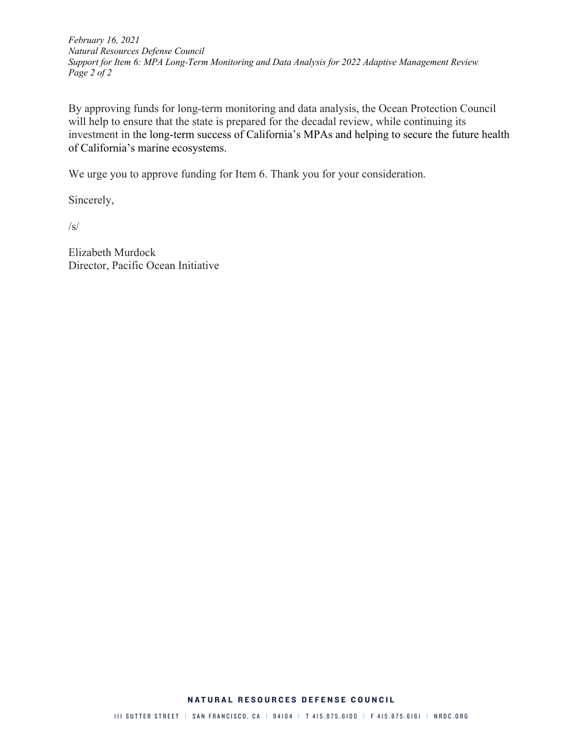*February 16, 2021 Natural Resources Defense Council Support for Item 6: MPA Long-Term Monitoring and Data Analysis for 2022 Adaptive Management Review Page 2 of 2*

By approving funds for long-term monitoring and data analysis, the Ocean Protection Council will help to ensure that the state is prepared for the decadal review, while continuing its investment in the long-term success of California's MPAs and helping to secure the future health of California's marine ecosystems.

We urge you to approve funding for Item 6. Thank you for your consideration.

Sincerely,

/s/

Elizabeth Murdock Director, Pacific Ocean Initiative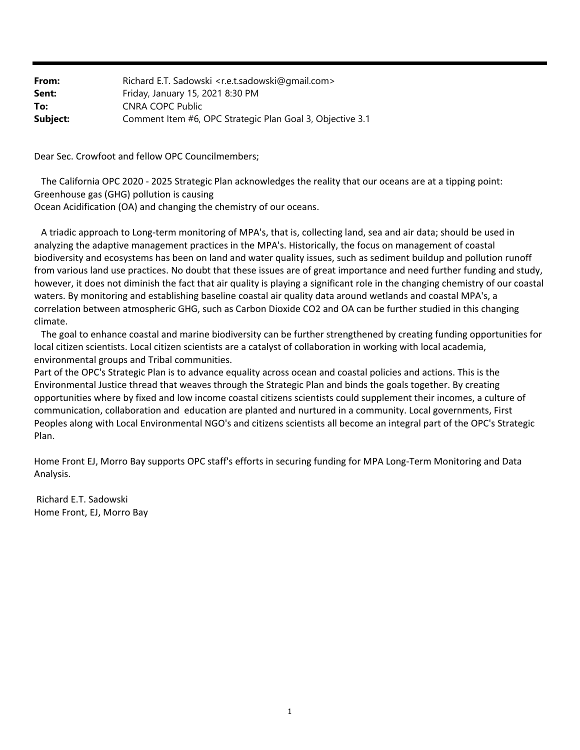| From:    | Richard E.T. Sadowski <r.e.t.sadowski@gmail.com></r.e.t.sadowski@gmail.com> |
|----------|-----------------------------------------------------------------------------|
| Sent:    | Friday, January 15, 2021 8:30 PM                                            |
| To:      | CNRA COPC Public                                                            |
| Subject: | Comment Item #6, OPC Strategic Plan Goal 3, Objective 3.1                   |

Dear Sec. Crowfoot and fellow OPC Councilmembers;

 The California OPC 2020 ‐ 2025 Strategic Plan acknowledges the reality that our oceans are at a tipping point: Greenhouse gas (GHG) pollution is causing Ocean Acidification (OA) and changing the chemistry of our oceans.

 A triadic approach to Long‐term monitoring of MPA's, that is, collecting land, sea and air data; should be used in analyzing the adaptive management practices in the MPA's. Historically, the focus on management of coastal biodiversity and ecosystems has been on land and water quality issues, such as sediment buildup and pollution runoff from various land use practices. No doubt that these issues are of great importance and need further funding and study, however, it does not diminish the fact that air quality is playing a significant role in the changing chemistry of our coastal waters. By monitoring and establishing baseline coastal air quality data around wetlands and coastal MPA's, a correlation between atmospheric GHG, such as Carbon Dioxide CO2 and OA can be further studied in this changing climate.

 The goal to enhance coastal and marine biodiversity can be further strengthened by creating funding opportunities for local citizen scientists. Local citizen scientists are a catalyst of collaboration in working with local academia, environmental groups and Tribal communities.

Part of the OPC's Strategic Plan is to advance equality across ocean and coastal policies and actions. This is the Environmental Justice thread that weaves through the Strategic Plan and binds the goals together. By creating opportunities where by fixed and low income coastal citizens scientists could supplement their incomes, a culture of communication, collaboration and education are planted and nurtured in a community. Local governments, First Peoples along with Local Environmental NGO's and citizens scientists all become an integral part of the OPC's Strategic Plan.

Home Front EJ, Morro Bay supports OPC staff's efforts in securing funding for MPA Long‐Term Monitoring and Data Analysis.

Richard E.T. Sadowski Home Front, EJ, Morro Bay